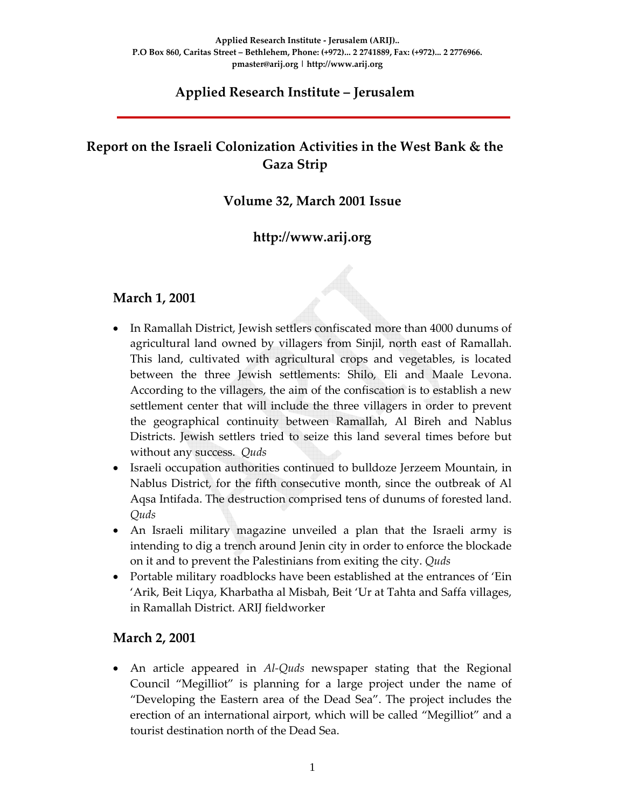## **Applied Research Institute – Jerusalem**

# **Report on the Israeli Colonization Activities in the West Bank & the Gaza Strip**

#### **Volume 32, March 2001 Issue**

## **http://www.arij.org**

#### **March 1, 2001**

- In Ramallah District, Jewish settlers confiscated more than 4000 dunums of agricultural land owned by villagers from Sinjil, north east of Ramallah. This land, cultivated with agricultural crops and vegetables, is located between the three Jewish settlements: Shilo, Eli and Maale Levona. According to the villagers, the aim of the confiscation is to establish a new settlement center that will include the three villagers in order to prevent the geographical continuity between Ramallah, Al Bireh and Nablus Districts. Jewish settlers tried to seize this land several times before but without any success. *Quds*
- Israeli occupation authorities continued to bulldoze Jerzeem Mountain, in Nablus District, for the fifth consecutive month, since the outbreak of Al Aqsa Intifada. The destruction comprised tens of dunums of forested land. *Quds*
- An Israeli military magazine unveiled a plan that the Israeli army is intending to dig a trench around Jenin city in order to enforce the blockade on it and to prevent the Palestinians from exiting the city. *Quds*
- Portable military roadblocks have been established at the entrances of 'Ein 'Arik, Beit Liqya, Kharbatha al Misbah, Beit 'Ur at Tahta and Saffa villages, in Ramallah District. ARIJ fieldworker

#### **March 2, 2001**

• An article appeared in *Al‐Quds* newspaper stating that the Regional Council "Megilliot" is planning for a large project under the name of "Developing the Eastern area of the Dead Sea". The project includes the erection of an international airport, which will be called "Megilliot" and a tourist destination north of the Dead Sea.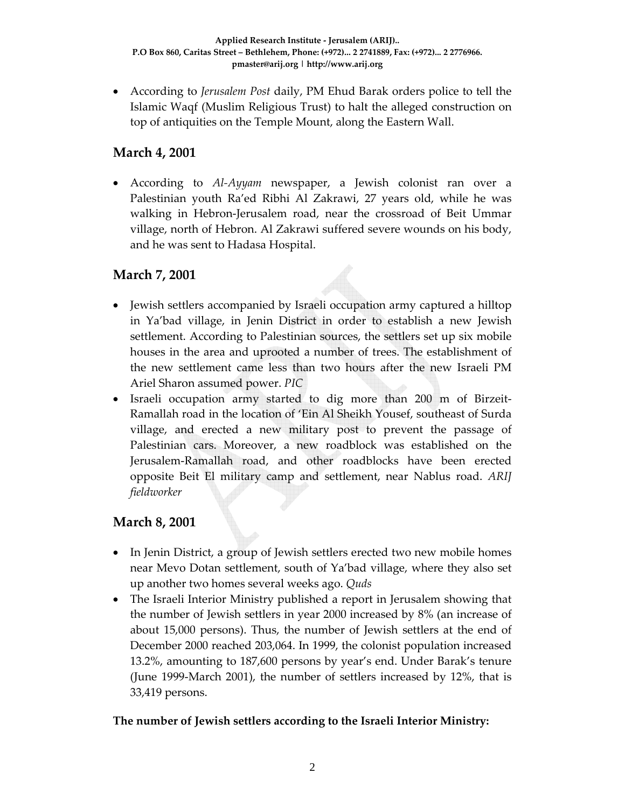• According to *Jerusalem Post* daily, PM Ehud Barak orders police to tell the Islamic Waqf (Muslim Religious Trust) to halt the alleged construction on top of antiquities on the Temple Mount, along the Eastern Wall.

## **March 4, 2001**

• According to *Al‐Ayyam* newspaper, a Jewish colonist ran over a Palestinian youth Ra'ed Ribhi Al Zakrawi, 27 years old, while he was walking in Hebron‐Jerusalem road, near the crossroad of Beit Ummar village, north of Hebron. Al Zakrawi suffered severe wounds on his body, and he was sent to Hadasa Hospital.

# **March 7, 2001**

- Jewish settlers accompanied by Israeli occupation army captured a hilltop in Ya'bad village, in Jenin District in order to establish a new Jewish settlement. According to Palestinian sources, the settlers set up six mobile houses in the area and uprooted a number of trees. The establishment of the new settlement came less than two hours after the new Israeli PM Ariel Sharon assumed power. *PIC*
- Israeli occupation army started to dig more than 200 m of Birzeit-Ramallah road in the location of 'Ein Al Sheikh Yousef, southeast of Surda village, and erected a new military post to prevent the passage of Palestinian cars. Moreover, a new roadblock was established on the Jerusalem‐Ramallah road, and other roadblocks have been erected opposite Beit El military camp and settlement, near Nablus road. *ARIJ fieldworker*

## **March 8, 2001**

- In Jenin District, a group of Jewish settlers erected two new mobile homes near Mevo Dotan settlement, south of Ya'bad village, where they also set up another two homes several weeks ago. *Quds*
- The Israeli Interior Ministry published a report in Jerusalem showing that the number of Jewish settlers in year 2000 increased by 8% (an increase of about 15,000 persons). Thus, the number of Jewish settlers at the end of December 2000 reached 203,064. In 1999, the colonist population increased 13.2%, amounting to 187,600 persons by year's end. Under Barak's tenure (June 1999‐March 2001), the number of settlers increased by 12%, that is 33,419 persons.

#### **The number of Jewish settlers according to the Israeli Interior Ministry:**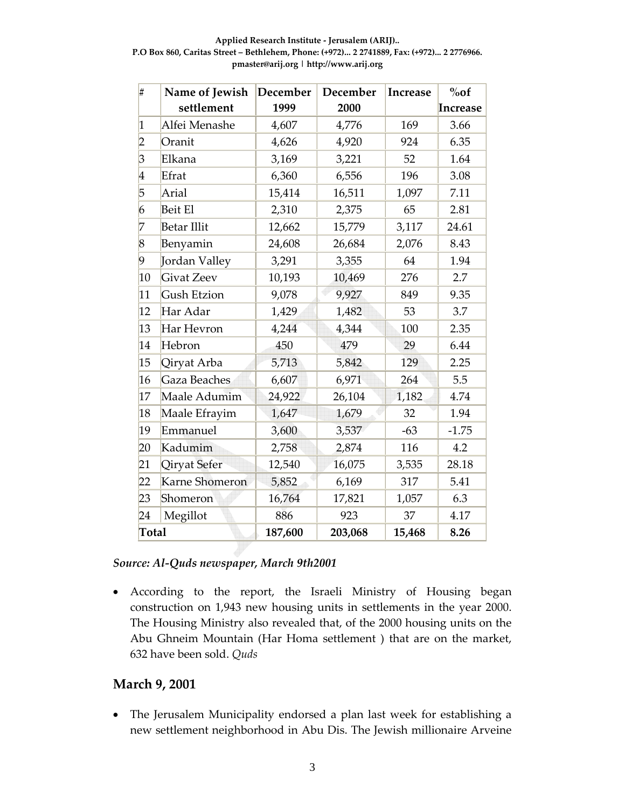**Applied Research Institute ‐ Jerusalem (ARIJ).. P.O Box 860, Caritas Street – Bethlehem, Phone: (+972)... 2 2741889, Fax: (+972)... 2 2776966. pmaster@arij.org | http://www.arij.org**

| #                       | Name of Jewish     | December | December | <b>Increase</b> | $\%$ of  |
|-------------------------|--------------------|----------|----------|-----------------|----------|
|                         | settlement         | 1999     | 2000     |                 | Increase |
| $\mathbf 1$             | Alfei Menashe      | 4,607    | 4,776    | 169             | 3.66     |
| $\overline{2}$          | Oranit             | 4,626    | 4,920    | 924             | 6.35     |
| $\overline{\beta}$      | Elkana             | 3,169    | 3,221    | 52              | 1.64     |
| $\overline{\mathbf{4}}$ | Efrat              | 6,360    | 6,556    | 196             | 3.08     |
| 5                       | Arial              | 15,414   | 16,511   | 1,097           | 7.11     |
| 6                       | Beit El            | 2,310    | 2,375    | 65              | 2.81     |
| 7                       | <b>Betar Illit</b> | 12,662   | 15,779   | 3,117           | 24.61    |
| 8                       | Benyamin           | 24,608   | 26,684   | 2,076           | 8.43     |
| 9                       | Jordan Valley      | 3,291    | 3,355    | 64              | 1.94     |
| 10                      | <b>Givat Zeev</b>  | 10,193   | 10,469   | 276             | 2.7      |
| 11                      | <b>Gush Etzion</b> | 9,078    | 9,927    | 849             | 9.35     |
| 12                      | Har Adar           | 1,429    | 1,482    | 53              | 3.7      |
| 13                      | Har Hevron         | 4,244    | 4,344    | 100             | 2.35     |
| 14                      | Hebron             | 450      | 479      | 29              | 6.44     |
| 15                      | Qiryat Arba        | 5,713    | 5,842    | 129             | 2.25     |
| 16                      | Gaza Beaches       | 6,607    | 6,971    | 264             | 5.5      |
| 17                      | Maale Adumim       | 24,922   | 26,104   | 1,182           | 4.74     |
| 18                      | Maale Efrayim      | 1,647    | 1,679    | 32              | 1.94     |
| 19                      | Emmanuel           | 3,600    | 3,537    | $-63$           | $-1.75$  |
| 20                      | Kadumim            | 2,758    | 2,874    | 116             | 4.2      |
| 21                      | Qiryat Sefer       | 12,540   | 16,075   | 3,535           | 28.18    |
| 22                      | Karne Shomeron     | 5,852    | 6,169    | 317             | 5.41     |
| 23                      | Shomeron           | 16,764   | 17,821   | 1,057           | 6.3      |
| 24                      | Megillot           | 886      | 923      | 37              | 4.17     |
| <b>Total</b>            |                    | 187,600  | 203,068  | 15,468          | 8.26     |

*Source: Al‐Quds newspaper, March 9th2001*

• According to the report, the Israeli Ministry of Housing began construction on 1,943 new housing units in settlements in the year 2000. The Housing Ministry also revealed that, of the 2000 housing units on the Abu Ghneim Mountain (Har Homa settlement ) that are on the market, have been sold. *Quds*

#### **March 9, 2001**

• The Jerusalem Municipality endorsed a plan last week for establishing a new settlement neighborhood in Abu Dis. The Jewish millionaire Arveine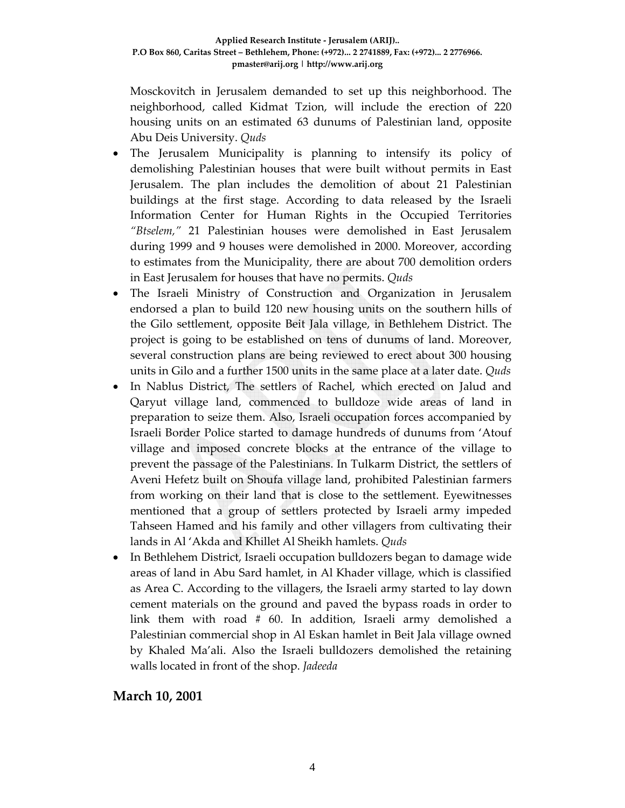Mosckovitch in Jerusalem demanded to set up this neighborhood. The neighborhood, called Kidmat Tzion, will include the erection of 220 housing units on an estimated 63 dunums of Palestinian land, opposite Abu Deis University. *Quds*

- The Jerusalem Municipality is planning to intensify its policy of demolishing Palestinian houses that were built without permits in East Jerusalem. The plan includes the demolition of about 21 Palestinian buildings at the first stage. According to data released by the Israeli Information Center for Human Rights in the Occupied Territories *"Btselem,"* 21 Palestinian houses were demolished in East Jerusalem during 1999 and 9 houses were demolished in 2000. Moreover, according to estimates from the Municipality, there are about 700 demolition orders in East Jerusalem for houses that have no permits. *Quds*
- The Israeli Ministry of Construction and Organization in Jerusalem endorsed a plan to build 120 new housing units on the southern hills of the Gilo settlement, opposite Beit Jala village, in Bethlehem District. The project is going to be established on tens of dunums of land. Moreover, several construction plans are being reviewed to erect about 300 housing units in Gilo and a further 1500 units in the same place at a later date. *Quds*
- In Nablus District, The settlers of Rachel, which erected on Jalud and Qaryut village land, commenced to bulldoze wide areas of land in preparation to seize them. Also, Israeli occupation forces accompanied by Israeli Border Police started to damage hundreds of dunums from 'Atouf village and imposed concrete blocks at the entrance of the village to prevent the passage of the Palestinians. In Tulkarm District, the settlers of Aveni Hefetz built on Shoufa village land, prohibited Palestinian farmers from working on their land that is close to the settlement. Eyewitnesses mentioned that a group of settlers protected by Israeli army impeded Tahseen Hamed and his family and other villagers from cultivating their lands in Al 'Akda and Khillet Al Sheikh hamlets. *Quds*
- In Bethlehem District, Israeli occupation bulldozers began to damage wide areas of land in Abu Sard hamlet, in Al Khader village, which is classified as Area C. According to the villagers, the Israeli army started to lay down cement materials on the ground and paved the bypass roads in order to link them with road # 60. In addition, Israeli army demolished a Palestinian commercial shop in Al Eskan hamlet in Beit Jala village owned by Khaled Ma'ali. Also the Israeli bulldozers demolished the retaining walls located in front of the shop. *Jadeeda*

## **March 10, 2001**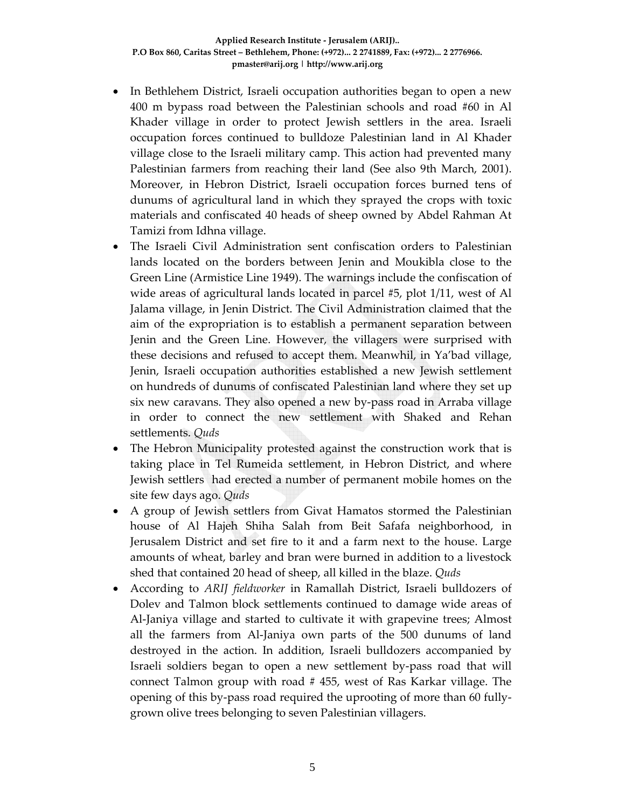- In Bethlehem District, Israeli occupation authorities began to open a new 400 m bypass road between the Palestinian schools and road #60 in Al Khader village in order to protect Jewish settlers in the area. Israeli occupation forces continued to bulldoze Palestinian land in Al Khader village close to the Israeli military camp. This action had prevented many Palestinian farmers from reaching their land (See also 9th March, 2001). Moreover, in Hebron District, Israeli occupation forces burned tens of dunums of agricultural land in which they sprayed the crops with toxic materials and confiscated 40 heads of sheep owned by Abdel Rahman At Tamizi from Idhna village.
- The Israeli Civil Administration sent confiscation orders to Palestinian lands located on the borders between Jenin and Moukibla close to the Green Line (Armistice Line 1949). The warnings include the confiscation of wide areas of agricultural lands located in parcel #5, plot 1/11, west of Al Jalama village, in Jenin District. The Civil Administration claimed that the aim of the expropriation is to establish a permanent separation between Jenin and the Green Line. However, the villagers were surprised with these decisions and refused to accept them. Meanwhil, in Ya'bad village, Jenin, Israeli occupation authorities established a new Jewish settlement on hundreds of dunums of confiscated Palestinian land where they set up six new caravans. They also opened a new by‐pass road in Arraba village in order to connect the new settlement with Shaked and Rehan settlements. *Quds*
- The Hebron Municipality protested against the construction work that is taking place in Tel Rumeida settlement, in Hebron District, and where Jewish settlers had erected a number of permanent mobile homes on the site few days ago. *Quds*
- A group of Jewish settlers from Givat Hamatos stormed the Palestinian house of Al Hajeh Shiha Salah from Beit Safafa neighborhood, in Jerusalem District and set fire to it and a farm next to the house. Large amounts of wheat, barley and bran were burned in addition to a livestock shed that contained 20 head of sheep, all killed in the blaze. *Quds*
- According to *ARIJ fieldworker* in Ramallah District, Israeli bulldozers of Dolev and Talmon block settlements continued to damage wide areas of Al‐Janiya village and started to cultivate it with grapevine trees; Almost all the farmers from Al‐Janiya own parts of the 500 dunums of land destroyed in the action. In addition, Israeli bulldozers accompanied by Israeli soldiers began to open a new settlement by‐pass road that will connect Talmon group with road # 455, west of Ras Karkar village. The opening of this by‐pass road required the uprooting of more than 60 fully‐ grown olive trees belonging to seven Palestinian villagers.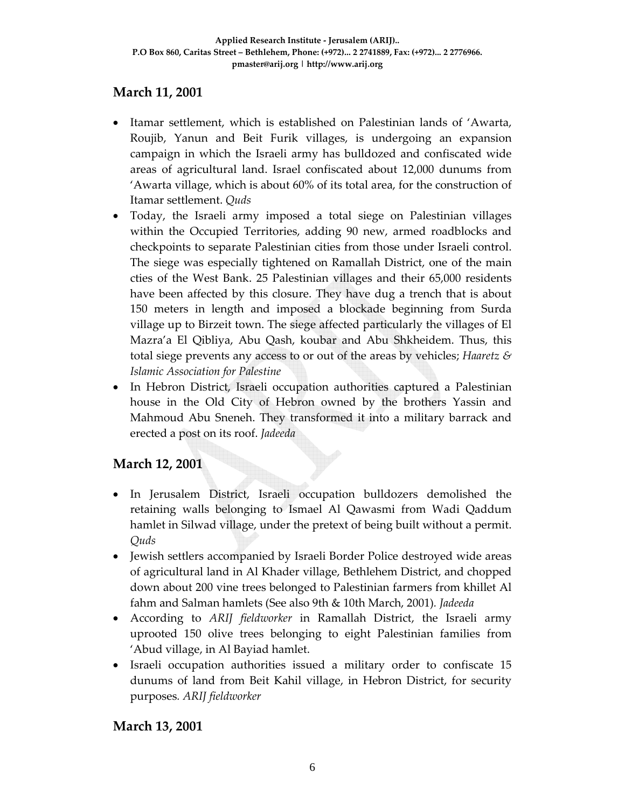# **March 11, 2001**

- Itamar settlement, which is established on Palestinian lands of 'Awarta, Roujib, Yanun and Beit Furik villages, is undergoing an expansion campaign in which the Israeli army has bulldozed and confiscated wide areas of agricultural land. Israel confiscated about 12,000 dunums from 'Awarta village, which is about 60% of its total area, for the construction of Itamar settlement. *Quds*
- Today, the Israeli army imposed a total siege on Palestinian villages within the Occupied Territories, adding 90 new, armed roadblocks and checkpoints to separate Palestinian cities from those under Israeli control. The siege was especially tightened on Ramallah District, one of the main cties of the West Bank. 25 Palestinian villages and their 65,000 residents have been affected by this closure. They have dug a trench that is about 150 meters in length and imposed a blockade beginning from Surda village up to Birzeit town. The siege affected particularly the villages of El Mazra'a El Qibliya, Abu Qash, koubar and Abu Shkheidem. Thus, this total siege prevents any access to or out of the areas by vehicles; *Haaretz & Islamic Association for Palestine*
- In Hebron District, Israeli occupation authorities captured a Palestinian house in the Old City of Hebron owned by the brothers Yassin and Mahmoud Abu Sneneh. They transformed it into a military barrack and erected a post on its roof. *Jadeeda*

# **March 12, 2001**

- In Jerusalem District, Israeli occupation bulldozers demolished the retaining walls belonging to Ismael Al Qawasmi from Wadi Qaddum hamlet in Silwad village, under the pretext of being built without a permit. *Quds*
- Jewish settlers accompanied by Israeli Border Police destroyed wide areas of agricultural land in Al Khader village, Bethlehem District, and chopped down about 200 vine trees belonged to Palestinian farmers from khillet Al fahm and Salman hamlets (See also 9th & 10th March, 2001)*. Jadeeda*
- According to *ARIJ fieldworker* in Ramallah District, the Israeli army uprooted 150 olive trees belonging to eight Palestinian families from 'Abud village, in Al Bayiad hamlet.
- Israeli occupation authorities issued a military order to confiscate 15 dunums of land from Beit Kahil village, in Hebron District, for security purposes*. ARIJ fieldworker*

## **March 13, 2001**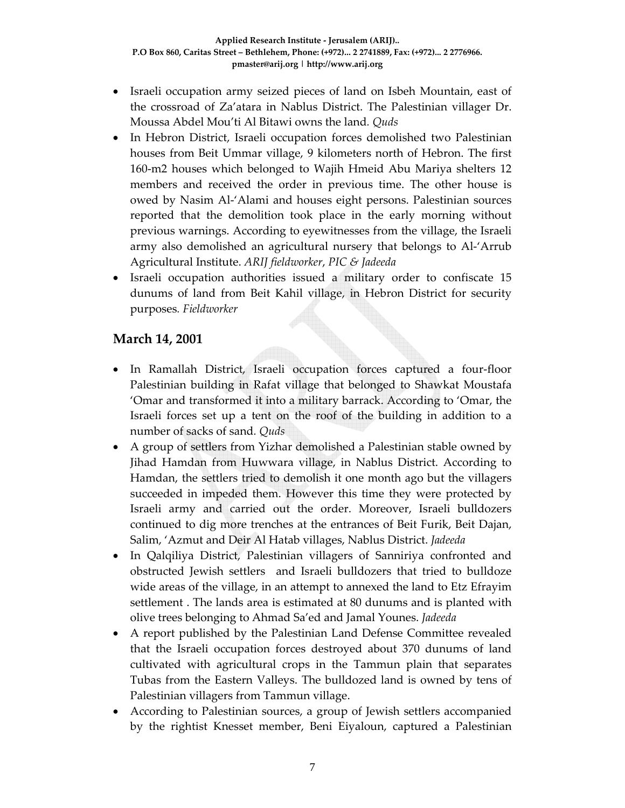- Israeli occupation army seized pieces of land on Isbeh Mountain, east of the crossroad of Za'atara in Nablus District. The Palestinian villager Dr. Moussa Abdel Mou'ti Al Bitawi owns the land*. Quds*
- In Hebron District, Israeli occupation forces demolished two Palestinian houses from Beit Ummar village, 9 kilometers north of Hebron. The first 160-m2 houses which belonged to Wajih Hmeid Abu Mariya shelters 12 members and received the order in previous time. The other house is owed by Nasim Al‐'Alami and houses eight persons. Palestinian sources reported that the demolition took place in the early morning without previous warnings. According to eyewitnesses from the village, the Israeli army also demolished an agricultural nursery that belongs to Al‐'Arrub Agricultural Institute. *ARIJ fieldworker*, *PIC & Jadeeda*
- Israeli occupation authorities issued a military order to confiscate 15 dunums of land from Beit Kahil village, in Hebron District for security purposes*. Fieldworker*

#### **March 14, 2001**

- In Ramallah District, Israeli occupation forces captured a four‐floor Palestinian building in Rafat village that belonged to Shawkat Moustafa 'Omar and transformed it into a military barrack. According to 'Omar, the Israeli forces set up a tent on the roof of the building in addition to a number of sacks of sand*. Quds*
- A group of settlers from Yizhar demolished a Palestinian stable owned by Jihad Hamdan from Huwwara village, in Nablus District. According to Hamdan, the settlers tried to demolish it one month ago but the villagers succeeded in impeded them. However this time they were protected by Israeli army and carried out the order. Moreover, Israeli bulldozers continued to dig more trenches at the entrances of Beit Furik, Beit Dajan, Salim, 'Azmut and Deir Al Hatab villages, Nablus District. *Jadeeda*
- In Qalqiliya District, Palestinian villagers of Sanniriya confronted and obstructed Jewish settlers and Israeli bulldozers that tried to bulldoze wide areas of the village, in an attempt to annexed the land to Etz Efrayim settlement . The lands area is estimated at 80 dunums and is planted with olive trees belonging to Ahmad Sa'ed and Jamal Younes. *Jadeeda*
- A report published by the Palestinian Land Defense Committee revealed that the Israeli occupation forces destroyed about 370 dunums of land cultivated with agricultural crops in the Tammun plain that separates Tubas from the Eastern Valleys. The bulldozed land is owned by tens of Palestinian villagers from Tammun village.
- According to Palestinian sources, a group of Jewish settlers accompanied by the rightist Knesset member, Beni Eiyaloun, captured a Palestinian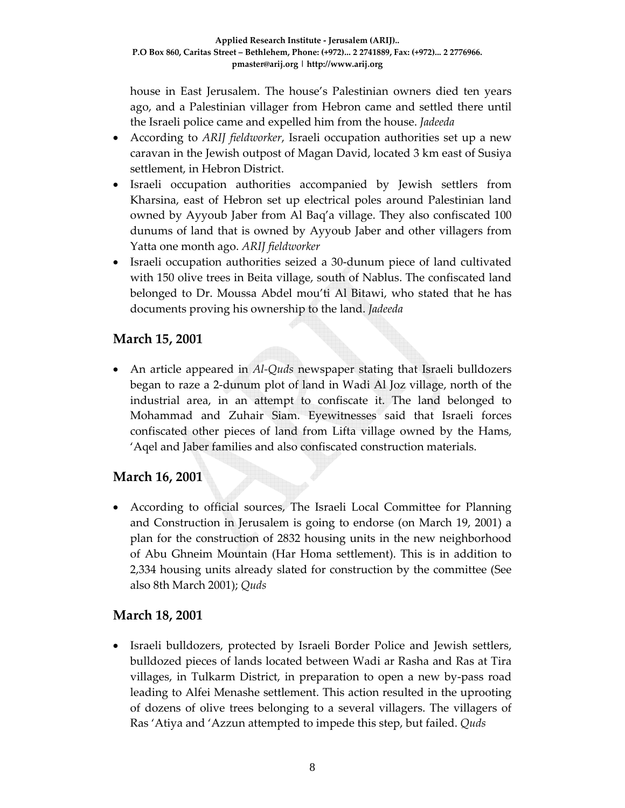house in East Jerusalem. The house's Palestinian owners died ten years ago, and a Palestinian villager from Hebron came and settled there until the Israeli police came and expelled him from the house. *Jadeeda*

- According to *ARIJ fieldworker*, Israeli occupation authorities set up a new caravan in the Jewish outpost of Magan David, located 3 km east of Susiya settlement, in Hebron District.
- Israeli occupation authorities accompanied by Jewish settlers from Kharsina, east of Hebron set up electrical poles around Palestinian land owned by Ayyoub Jaber from Al Baq'a village. They also confiscated 100 dunums of land that is owned by Ayyoub Jaber and other villagers from Yatta one month ago. *ARIJ fieldworker*
- Israeli occupation authorities seized a 30-dunum piece of land cultivated with 150 olive trees in Beita village, south of Nablus. The confiscated land belonged to Dr. Moussa Abdel mou'ti Al Bitawi, who stated that he has documents proving his ownership to the land. *Jadeeda*

## **March 15, 2001**

• An article appeared in *Al*-*Quds* newspaper stating that Israeli bulldozers began to raze a 2‐dunum plot of land in Wadi Al Joz village, north of the industrial area, in an attempt to confiscate it. The land belonged to Mohammad and Zuhair Siam. Eyewitnesses said that Israeli forces confiscated other pieces of land from Lifta village owned by the Hams, 'Aqel and Jaber families and also confiscated construction materials.

## **March 16, 2001**

• According to official sources, The Israeli Local Committee for Planning and Construction in Jerusalem is going to endorse (on March 19, 2001) a plan for the construction of 2832 housing units in the new neighborhood of Abu Ghneim Mountain (Har Homa settlement). This is in addition to 2,334 housing units already slated for construction by the committee (See also 8th March 2001); *Quds*

## **March 18, 2001**

• Israeli bulldozers, protected by Israeli Border Police and Jewish settlers, bulldozed pieces of lands located between Wadi ar Rasha and Ras at Tira villages, in Tulkarm District, in preparation to open a new by‐pass road leading to Alfei Menashe settlement. This action resulted in the uprooting of dozens of olive trees belonging to a several villagers. The villagers of Ras 'Atiya and 'Azzun attempted to impede this step, but failed. *Quds*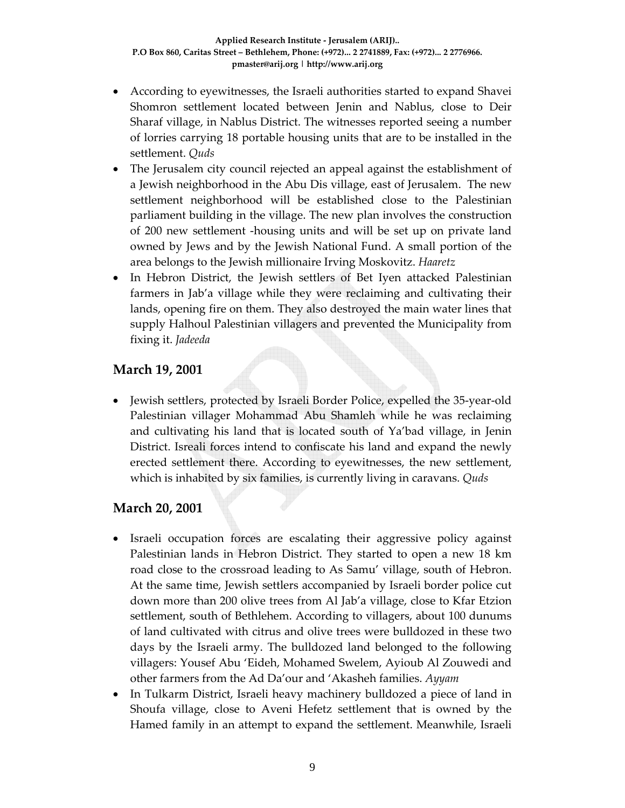- According to eyewitnesses, the Israeli authorities started to expand Shavei Shomron settlement located between Jenin and Nablus, close to Deir Sharaf village, in Nablus District. The witnesses reported seeing a number of lorries carrying 18 portable housing units that are to be installed in the settlement. *Quds*
- The Jerusalem city council rejected an appeal against the establishment of a Jewish neighborhood in the Abu Dis village, east of Jerusalem. The new settlement neighborhood will be established close to the Palestinian parliament building in the village. The new plan involves the construction of 200 new settlement ‐housing units and will be set up on private land owned by Jews and by the Jewish National Fund. A small portion of the area belongs to the Jewish millionaire Irving Moskovitz. *Haaretz*
- In Hebron District, the Jewish settlers of Bet Iyen attacked Palestinian farmers in Jab'a village while they were reclaiming and cultivating their lands, opening fire on them. They also destroyed the main water lines that supply Halhoul Palestinian villagers and prevented the Municipality from fixing it. *Jadeeda*

#### **March 19, 2001**

• Jewish settlers, protected by Israeli Border Police, expelled the 35-year-old Palestinian villager Mohammad Abu Shamleh while he was reclaiming and cultivating his land that is located south of Ya'bad village, in Jenin District. Isreali forces intend to confiscate his land and expand the newly erected settlement there. According to eyewitnesses, the new settlement, which is inhabited by six families, is currently living in caravans. *Quds*

#### **March 20, 2001**

- Israeli occupation forces are escalating their aggressive policy against Palestinian lands in Hebron District. They started to open a new 18 km road close to the crossroad leading to As Samu' village, south of Hebron. At the same time, Jewish settlers accompanied by Israeli border police cut down more than 200 olive trees from Al Jab'a village, close to Kfar Etzion settlement, south of Bethlehem. According to villagers, about 100 dunums of land cultivated with citrus and olive trees were bulldozed in these two days by the Israeli army. The bulldozed land belonged to the following villagers: Yousef Abu 'Eideh, Mohamed Swelem, Ayioub Al Zouwedi and other farmers from the Ad Da'our and 'Akasheh families. *Ayyam*
- In Tulkarm District, Israeli heavy machinery bulldozed a piece of land in Shoufa village, close to Aveni Hefetz settlement that is owned by the Hamed family in an attempt to expand the settlement. Meanwhile, Israeli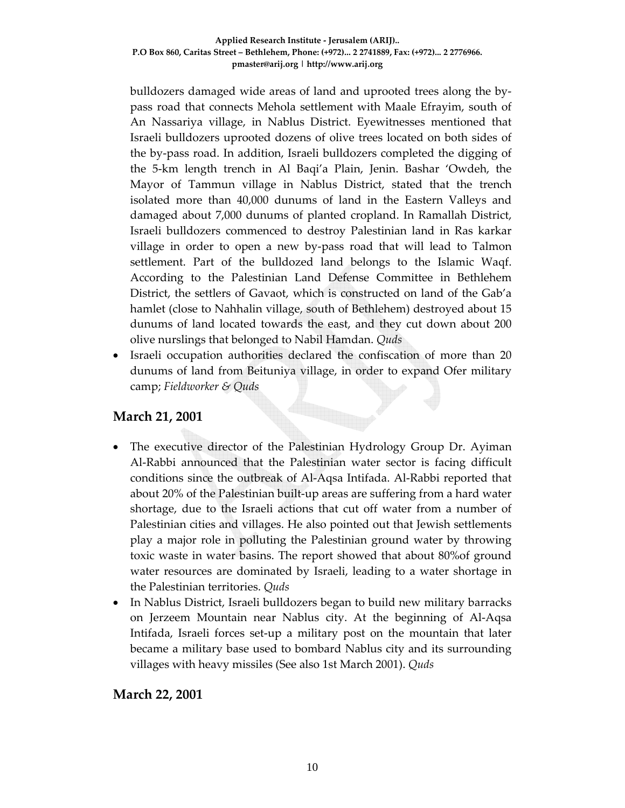#### **Applied Research Institute ‐ Jerusalem (ARIJ).. P.O Box 860, Caritas Street – Bethlehem, Phone: (+972)... 2 2741889, Fax: (+972)... 2 2776966. pmaster@arij.org | http://www.arij.org**

bulldozers damaged wide areas of land and uprooted trees along the by‐ pass road that connects Mehola settlement with Maale Efrayim, south of An Nassariya village, in Nablus District. Eyewitnesses mentioned that Israeli bulldozers uprooted dozens of olive trees located on both sides of the by‐pass road. In addition, Israeli bulldozers completed the digging of the 5‐km length trench in Al Baqi'a Plain, Jenin. Bashar 'Owdeh, the Mayor of Tammun village in Nablus District, stated that the trench isolated more than 40,000 dunums of land in the Eastern Valleys and damaged about 7,000 dunums of planted cropland. In Ramallah District, Israeli bulldozers commenced to destroy Palestinian land in Ras karkar village in order to open a new by‐pass road that will lead to Talmon settlement. Part of the bulldozed land belongs to the Islamic Waqf. According to the Palestinian Land Defense Committee in Bethlehem District, the settlers of Gavaot, which is constructed on land of the Gab'a hamlet (close to Nahhalin village, south of Bethlehem) destroyed about 15 dunums of land located towards the east, and they cut down about 200 olive nurslings that belonged to Nabil Hamdan. *Quds*

• Israeli occupation authorities declared the confiscation of more than 20 dunums of land from Beituniya village, in order to expand Ofer military camp; *Fieldworker & Quds*

#### **March 21, 2001**

- The executive director of the Palestinian Hydrology Group Dr. Ayiman Al‐Rabbi announced that the Palestinian water sector is facing difficult conditions since the outbreak of Al‐Aqsa Intifada. Al‐Rabbi reported that about 20% of the Palestinian built‐up areas are suffering from a hard water shortage, due to the Israeli actions that cut off water from a number of Palestinian cities and villages. He also pointed out that Jewish settlements play a major role in polluting the Palestinian ground water by throwing toxic waste in water basins. The report showed that about 80%of ground water resources are dominated by Israeli, leading to a water shortage in the Palestinian territories. *Quds*
- In Nablus District, Israeli bulldozers began to build new military barracks on Jerzeem Mountain near Nablus city. At the beginning of Al‐Aqsa Intifada, Israeli forces set‐up a military post on the mountain that later became a military base used to bombard Nablus city and its surrounding villages with heavy missiles (See also 1st March 2001). *Quds*

#### **March 22, 2001**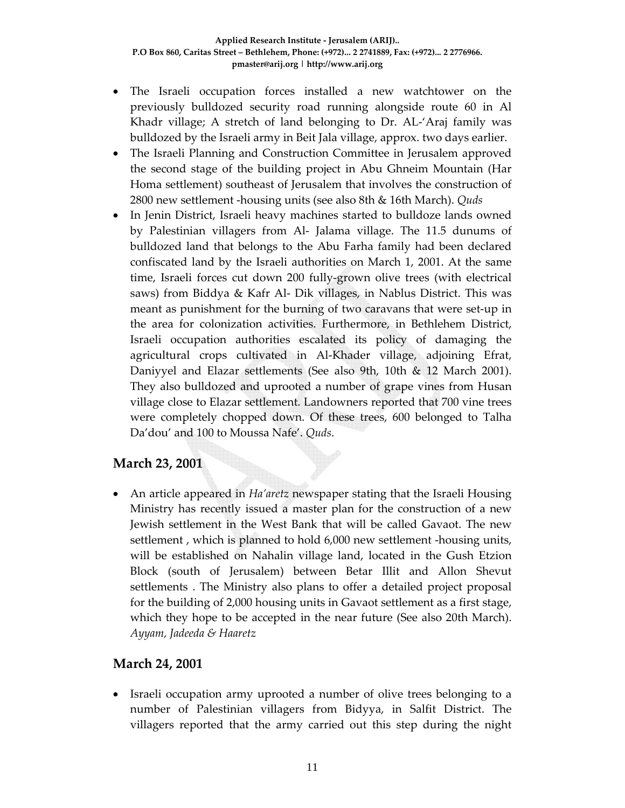- The Israeli occupation forces installed a new watchtower on the previously bulldozed security road running alongside route 60 in Al Khadr village; A stretch of land belonging to Dr. AL‐'Araj family was bulldozed by the Israeli army in Beit Jala village, approx. two days earlier.
- The Israeli Planning and Construction Committee in Jerusalem approved the second stage of the building project in Abu Ghneim Mountain (Har Homa settlement) southeast of Jerusalem that involves the construction of 2800 new settlement ‐housing units (see also 8th & 16th March). *Quds*
- In Jenin District, Israeli heavy machines started to bulldoze lands owned by Palestinian villagers from Al‐ Jalama village. The 11.5 dunums of bulldozed land that belongs to the Abu Farha family had been declared confiscated land by the Israeli authorities on March 1, 2001. At the same time, Israeli forces cut down 200 fully‐grown olive trees (with electrical saws) from Biddya & Kafr Al‐ Dik villages, in Nablus District. This was meant as punishment for the burning of two caravans that were set-up in the area for colonization activities. Furthermore, in Bethlehem District, Israeli occupation authorities escalated its policy of damaging the agricultural crops cultivated in Al‐Khader village, adjoining Efrat, Daniyyel and Elazar settlements (See also 9th, 10th & 12 March 2001). They also bulldozed and uprooted a number of grape vines from Husan village close to Elazar settlement. Landowners reported that 700 vine trees were completely chopped down. Of these trees, 600 belonged to Talha Da'dou' and 100 to Moussa Nafe'. *Quds*.

## **March 23, 2001**

• An article appeared in *Ha'aretz* newspaper stating that the Israeli Housing Ministry has recently issued a master plan for the construction of a new Jewish settlement in the West Bank that will be called Gavaot. The new settlement , which is planned to hold 6,000 new settlement ‐housing units, will be established on Nahalin village land, located in the Gush Etzion Block (south of Jerusalem) between Betar Illit and Allon Shevut settlements . The Ministry also plans to offer a detailed project proposal for the building of 2,000 housing units in Gavaot settlement as a first stage, which they hope to be accepted in the near future (See also 20th March). *Ayyam, Jadeeda & Haaretz*

# **March 24, 2001**

• Israeli occupation army uprooted a number of olive trees belonging to a number of Palestinian villagers from Bidyya, in Salfit District. The villagers reported that the army carried out this step during the night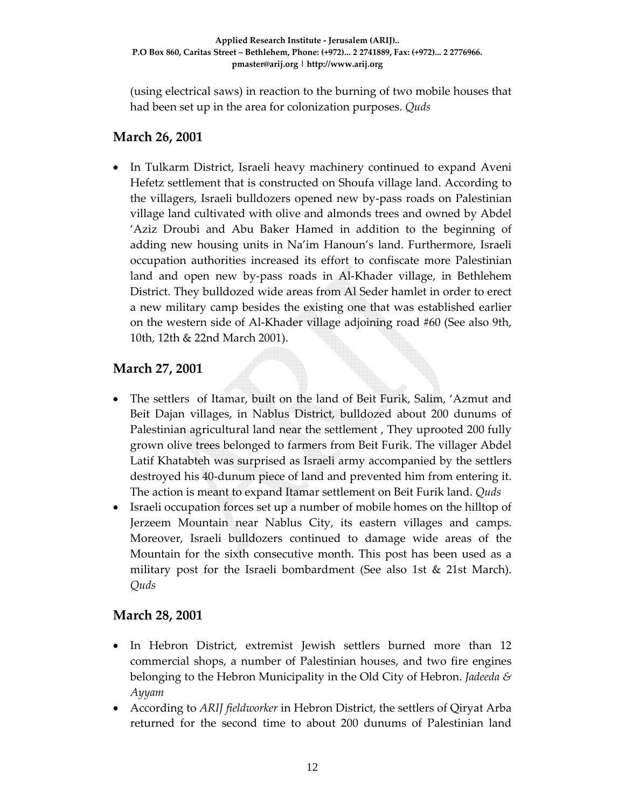(using electrical saws) in reaction to the burning of two mobile houses that had been set up in the area for colonization purposes. *Quds*

#### **March 26, 2001**

• In Tulkarm District, Israeli heavy machinery continued to expand Aveni Hefetz settlement that is constructed on Shoufa village land. According to the villagers, Israeli bulldozers opened new by‐pass roads on Palestinian village land cultivated with olive and almonds trees and owned by Abdel 'Aziz Droubi and Abu Baker Hamed in addition to the beginning of adding new housing units in Na'im Hanoun's land. Furthermore, Israeli occupation authorities increased its effort to confiscate more Palestinian land and open new by‐pass roads in Al‐Khader village, in Bethlehem District. They bulldozed wide areas from Al Seder hamlet in order to erect a new military camp besides the existing one that was established earlier on the western side of Al‐Khader village adjoining road #60 (See also 9th, 10th, 12th & 22nd March 2001).

## **March 27, 2001**

- The settlers of Itamar, built on the land of Beit Furik, Salim, 'Azmut and Beit Dajan villages, in Nablus District, bulldozed about 200 dunums of Palestinian agricultural land near the settlement , They uprooted 200 fully grown olive trees belonged to farmers from Beit Furik. The villager Abdel Latif Khatabteh was surprised as Israeli army accompanied by the settlers destroyed his 40‐dunum piece of land and prevented him from entering it. The action is meant to expand Itamar settlement on Beit Furik land. *Quds*
- Israeli occupation forces set up a number of mobile homes on the hilltop of Jerzeem Mountain near Nablus City, its eastern villages and camps. Moreover, Israeli bulldozers continued to damage wide areas of the Mountain for the sixth consecutive month. This post has been used as a military post for the Israeli bombardment (See also 1st & 21st March). *Quds*

#### **March 28, 2001**

- In Hebron District, extremist Jewish settlers burned more than 12 commercial shops, a number of Palestinian houses, and two fire engines belonging to the Hebron Municipality in the Old City of Hebron. *Jadeeda & Ayyam*
- According to *ARIJ fieldworker* in Hebron District, the settlers of Qiryat Arba returned for the second time to about 200 dunums of Palestinian land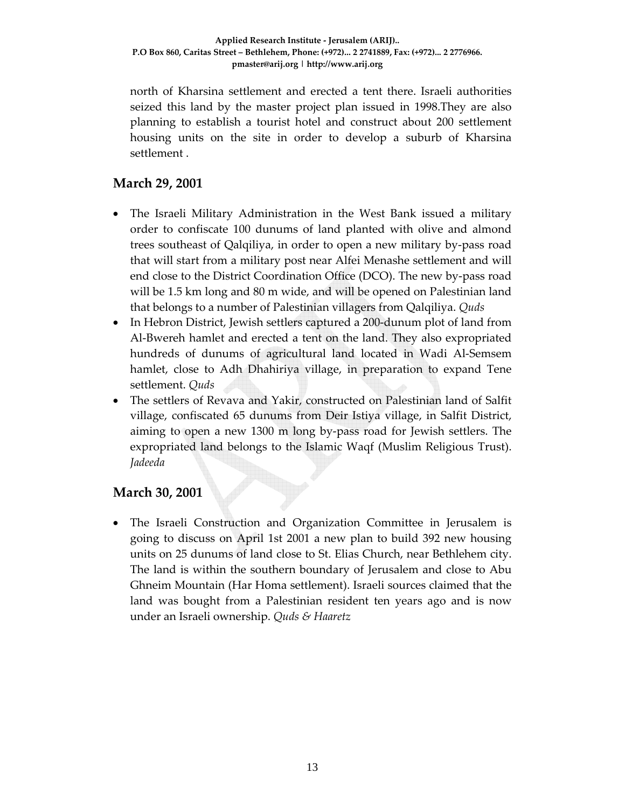north of Kharsina settlement and erected a tent there. Israeli authorities seized this land by the master project plan issued in 1998.They are also planning to establish a tourist hotel and construct about 200 settlement housing units on the site in order to develop a suburb of Kharsina settlement .

# **March 29, 2001**

- The Israeli Military Administration in the West Bank issued a military order to confiscate 100 dunums of land planted with olive and almond trees southeast of Qalqiliya, in order to open a new military by‐pass road that will start from a military post near Alfei Menashe settlement and will end close to the District Coordination Office (DCO). The new by‐pass road will be 1.5 km long and 80 m wide, and will be opened on Palestinian land that belongs to a number of Palestinian villagers from Qalqiliya. *Quds*
- In Hebron District, Jewish settlers captured a 200-dunum plot of land from Al‐Bwereh hamlet and erected a tent on the land. They also expropriated hundreds of dunums of agricultural land located in Wadi Al‐Semsem hamlet, close to Adh Dhahiriya village, in preparation to expand Tene settlement. *Quds*
- The settlers of Revava and Yakir, constructed on Palestinian land of Salfit village, confiscated 65 dunums from Deir Istiya village, in Salfit District, aiming to open a new 1300 m long by‐pass road for Jewish settlers. The expropriated land belongs to the Islamic Waqf (Muslim Religious Trust). *Jadeeda*

# **March 30, 2001**

• The Israeli Construction and Organization Committee in Jerusalem is going to discuss on April 1st 2001 a new plan to build 392 new housing units on 25 dunums of land close to St. Elias Church, near Bethlehem city. The land is within the southern boundary of Jerusalem and close to Abu Ghneim Mountain (Har Homa settlement). Israeli sources claimed that the land was bought from a Palestinian resident ten years ago and is now under an Israeli ownership. *Quds & Haaretz*